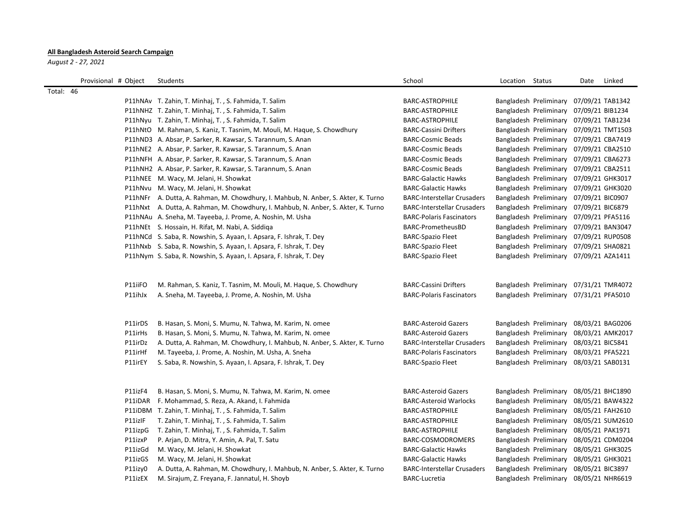## **All Bangladesh Asteroid Search Campaign**

*August 2 - 27, 2021*

|           | Provisional # Object                                           | Students                                                                                                                                                                                                                                                                                                                                           | School                                                                                                                                                                   | Location Status |                                                                                                                                                                                                     | Date             | Linked                                                                                                               |
|-----------|----------------------------------------------------------------|----------------------------------------------------------------------------------------------------------------------------------------------------------------------------------------------------------------------------------------------------------------------------------------------------------------------------------------------------|--------------------------------------------------------------------------------------------------------------------------------------------------------------------------|-----------------|-----------------------------------------------------------------------------------------------------------------------------------------------------------------------------------------------------|------------------|----------------------------------------------------------------------------------------------------------------------|
| Total: 46 |                                                                |                                                                                                                                                                                                                                                                                                                                                    |                                                                                                                                                                          |                 |                                                                                                                                                                                                     |                  |                                                                                                                      |
|           |                                                                | P11hNAv T. Zahin, T. Minhaj, T., S. Fahmida, T. Salim                                                                                                                                                                                                                                                                                              | BARC-ASTROPHILE                                                                                                                                                          |                 | Bangladesh Preliminary                                                                                                                                                                              |                  | 07/09/21 TAB1342                                                                                                     |
|           |                                                                | P11hNHZ T. Zahin, T. Minhaj, T., S. Fahmida, T. Salim                                                                                                                                                                                                                                                                                              | BARC-ASTROPHILE                                                                                                                                                          |                 | Bangladesh Preliminary 07/09/21 BIB1234                                                                                                                                                             |                  |                                                                                                                      |
|           |                                                                | P11hNyu T. Zahin, T. Minhaj, T., S. Fahmida, T. Salim                                                                                                                                                                                                                                                                                              | <b>BARC-ASTROPHILE</b>                                                                                                                                                   |                 | Bangladesh Preliminary 07/09/21 TAB1234                                                                                                                                                             |                  |                                                                                                                      |
|           |                                                                | P11hNtO M. Rahman, S. Kaniz, T. Tasnim, M. Mouli, M. Haque, S. Chowdhury                                                                                                                                                                                                                                                                           | <b>BARC-Cassini Drifters</b>                                                                                                                                             |                 | Bangladesh Preliminary 07/09/21 TMT1503                                                                                                                                                             |                  |                                                                                                                      |
|           |                                                                | P11hND3 A. Absar, P. Sarker, R. Kawsar, S. Tarannum, S. Anan                                                                                                                                                                                                                                                                                       | <b>BARC-Cosmic Beads</b>                                                                                                                                                 |                 | Bangladesh Preliminary 07/09/21 CBA7419                                                                                                                                                             |                  |                                                                                                                      |
|           |                                                                | P11hNE2 A. Absar, P. Sarker, R. Kawsar, S. Tarannum, S. Anan                                                                                                                                                                                                                                                                                       | <b>BARC-Cosmic Beads</b>                                                                                                                                                 |                 | Bangladesh Preliminary 07/09/21 CBA2510                                                                                                                                                             |                  |                                                                                                                      |
|           |                                                                | P11hNFH A. Absar, P. Sarker, R. Kawsar, S. Tarannum, S. Anan                                                                                                                                                                                                                                                                                       | <b>BARC-Cosmic Beads</b>                                                                                                                                                 |                 | Bangladesh Preliminary 07/09/21 CBA6273                                                                                                                                                             |                  |                                                                                                                      |
|           |                                                                | P11hNH2 A. Absar, P. Sarker, R. Kawsar, S. Tarannum, S. Anan                                                                                                                                                                                                                                                                                       | <b>BARC-Cosmic Beads</b>                                                                                                                                                 |                 | Bangladesh Preliminary 07/09/21 CBA2511                                                                                                                                                             |                  |                                                                                                                      |
|           |                                                                | P11hNEE M. Wacy, M. Jelani, H. Showkat                                                                                                                                                                                                                                                                                                             | <b>BARC-Galactic Hawks</b>                                                                                                                                               |                 | Bangladesh Preliminary 07/09/21 GHK3017                                                                                                                                                             |                  |                                                                                                                      |
|           |                                                                | P11hNvu M. Wacy, M. Jelani, H. Showkat                                                                                                                                                                                                                                                                                                             | <b>BARC-Galactic Hawks</b>                                                                                                                                               |                 | Bangladesh Preliminary 07/09/21 GHK3020                                                                                                                                                             |                  |                                                                                                                      |
|           |                                                                | P11hNFr A. Dutta, A. Rahman, M. Chowdhury, I. Mahbub, N. Anber, S. Akter, K. Turno                                                                                                                                                                                                                                                                 | <b>BARC-Interstellar Crusaders</b>                                                                                                                                       |                 | Bangladesh Preliminary 07/09/21 BIC0907                                                                                                                                                             |                  |                                                                                                                      |
|           |                                                                | P11hNxt A. Dutta, A. Rahman, M. Chowdhury, I. Mahbub, N. Anber, S. Akter, K. Turno                                                                                                                                                                                                                                                                 | <b>BARC-Interstellar Crusaders</b>                                                                                                                                       |                 | Bangladesh Preliminary 07/09/21 BIC6879                                                                                                                                                             |                  |                                                                                                                      |
|           |                                                                | P11hNAu A. Sneha, M. Tayeeba, J. Prome, A. Noshin, M. Usha                                                                                                                                                                                                                                                                                         | <b>BARC-Polaris Fascinators</b>                                                                                                                                          |                 | Bangladesh Preliminary 07/09/21 PFA5116                                                                                                                                                             |                  |                                                                                                                      |
|           |                                                                | P11hNEt S. Hossain, H. Rifat, M. Nabi, A. Siddiga                                                                                                                                                                                                                                                                                                  | BARC-PrometheusBD                                                                                                                                                        |                 | Bangladesh Preliminary 07/09/21 BAN3047                                                                                                                                                             |                  |                                                                                                                      |
|           |                                                                | P11hNCd S. Saba, R. Nowshin, S. Ayaan, I. Apsara, F. Ishrak, T. Dey                                                                                                                                                                                                                                                                                | <b>BARC-Spazio Fleet</b>                                                                                                                                                 |                 | Bangladesh Preliminary 07/09/21 RUP0508                                                                                                                                                             |                  |                                                                                                                      |
|           |                                                                | P11hNxb S. Saba, R. Nowshin, S. Ayaan, I. Apsara, F. Ishrak, T. Dey                                                                                                                                                                                                                                                                                | <b>BARC-Spazio Fleet</b>                                                                                                                                                 |                 | Bangladesh Preliminary 07/09/21 SHA0821                                                                                                                                                             |                  |                                                                                                                      |
|           |                                                                | P11hNym S. Saba, R. Nowshin, S. Ayaan, I. Apsara, F. Ishrak, T. Dey                                                                                                                                                                                                                                                                                | <b>BARC-Spazio Fleet</b>                                                                                                                                                 |                 | Bangladesh Preliminary 07/09/21 AZA1411                                                                                                                                                             |                  |                                                                                                                      |
|           | P11iiFO<br>P11ihJx                                             | M. Rahman, S. Kaniz, T. Tasnim, M. Mouli, M. Haque, S. Chowdhury<br>A. Sneha, M. Tayeeba, J. Prome, A. Noshin, M. Usha                                                                                                                                                                                                                             | <b>BARC-Cassini Drifters</b><br><b>BARC-Polaris Fascinators</b>                                                                                                          |                 | Bangladesh Preliminary 07/31/21 TMR4072<br>Bangladesh Preliminary 07/31/21 PFA5010                                                                                                                  |                  |                                                                                                                      |
|           | P11irDS<br>P11irHs<br>P11irDz<br>P11irHf<br>P11irEY            | B. Hasan, S. Moni, S. Mumu, N. Tahwa, M. Karim, N. omee<br>B. Hasan, S. Moni, S. Mumu, N. Tahwa, M. Karim, N. omee<br>A. Dutta, A. Rahman, M. Chowdhury, I. Mahbub, N. Anber, S. Akter, K. Turno<br>M. Tayeeba, J. Prome, A. Noshin, M. Usha, A. Sneha<br>S. Saba, R. Nowshin, S. Ayaan, I. Apsara, F. Ishrak, T. Dey                              | <b>BARC-Asteroid Gazers</b><br><b>BARC-Asteroid Gazers</b><br><b>BARC-Interstellar Crusaders</b><br><b>BARC-Polaris Fascinators</b><br><b>BARC-Spazio Fleet</b>          |                 | Bangladesh Preliminary<br>Bangladesh Preliminary<br>Bangladesh Preliminary<br>Bangladesh Preliminary<br>Bangladesh Preliminary 08/03/21 SAB0131                                                     | 08/03/21 BIC5841 | 08/03/21 BAG0206<br>08/03/21 AMK2017<br>08/03/21 PFA5221                                                             |
|           | P11izF4<br>P11iDAR<br>P11izIF<br>P11izpG<br>P11izxP<br>P11izGd | B. Hasan, S. Moni, S. Mumu, N. Tahwa, M. Karim, N. omee<br>F. Mohammad, S. Reza, A. Akand, I. Fahmida<br>P11iDBM T. Zahin, T. Minhaj, T., S. Fahmida, T. Salim<br>T. Zahin, T. Minhaj, T., S. Fahmida, T. Salim<br>T. Zahin, T. Minhaj, T., S. Fahmida, T. Salim<br>P. Arjan, D. Mitra, Y. Amin, A. Pal, T. Satu<br>M. Wacy, M. Jelani, H. Showkat | <b>BARC-Asteroid Gazers</b><br><b>BARC-Asteroid Warlocks</b><br>BARC-ASTROPHILE<br>BARC-ASTROPHILE<br>BARC-ASTROPHILE<br>BARC-COSMODROMERS<br><b>BARC-Galactic Hawks</b> |                 | Bangladesh Preliminary<br>Bangladesh Preliminary<br>Bangladesh Preliminary<br>Bangladesh Preliminary<br>Bangladesh Preliminary<br>Bangladesh Preliminary 08/05/21 CDM0204<br>Bangladesh Preliminary |                  | 08/05/21 BHC1890<br>08/05/21 BAW4322<br>08/05/21 FAH2610<br>08/05/21 SUM2610<br>08/05/21 PAK1971<br>08/05/21 GHK3025 |
|           | P11izGS                                                        | M. Wacy, M. Jelani, H. Showkat                                                                                                                                                                                                                                                                                                                     | <b>BARC-Galactic Hawks</b>                                                                                                                                               |                 | Bangladesh Preliminary 08/05/21 GHK3021                                                                                                                                                             |                  |                                                                                                                      |
|           | P11izy0                                                        | A. Dutta, A. Rahman, M. Chowdhury, I. Mahbub, N. Anber, S. Akter, K. Turno                                                                                                                                                                                                                                                                         | <b>BARC-Interstellar Crusaders</b>                                                                                                                                       |                 | Bangladesh Preliminary 08/05/21 BIC3897                                                                                                                                                             |                  |                                                                                                                      |
|           | P11izEX                                                        | M. Sirajum, Z. Freyana, F. Jannatul, H. Shoyb                                                                                                                                                                                                                                                                                                      | <b>BARC-Lucretia</b>                                                                                                                                                     |                 | Bangladesh Preliminary 08/05/21 NHR6619                                                                                                                                                             |                  |                                                                                                                      |